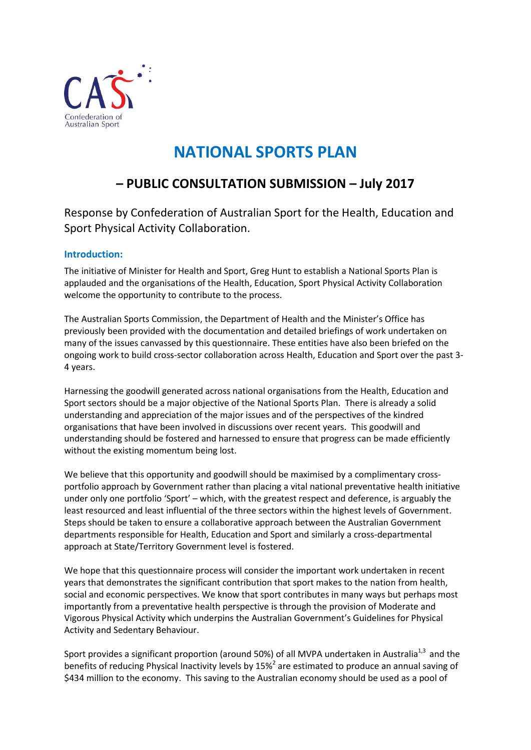

# **NATIONAL SPORTS PLAN**

# **– PUBLIC CONSULTATION SUBMISSION – July 2017**

Response by Confederation of Australian Sport for the Health, Education and Sport Physical Activity Collaboration.

# **Introduction:**

The initiative of Minister for Health and Sport, Greg Hunt to establish a National Sports Plan is applauded and the organisations of the Health, Education, Sport Physical Activity Collaboration welcome the opportunity to contribute to the process.

The Australian Sports Commission, the Department of Health and the Minister's Office has previously been provided with the documentation and detailed briefings of work undertaken on many of the issues canvassed by this questionnaire. These entities have also been briefed on the ongoing work to build cross-sector collaboration across Health, Education and Sport over the past 3- 4 years.

Harnessing the goodwill generated across national organisations from the Health, Education and Sport sectors should be a major objective of the National Sports Plan. There is already a solid understanding and appreciation of the major issues and of the perspectives of the kindred organisations that have been involved in discussions over recent years. This goodwill and understanding should be fostered and harnessed to ensure that progress can be made efficiently without the existing momentum being lost.

We believe that this opportunity and goodwill should be maximised by a complimentary crossportfolio approach by Government rather than placing a vital national preventative health initiative under only one portfolio 'Sport' – which, with the greatest respect and deference, is arguably the least resourced and least influential of the three sectors within the highest levels of Government. Steps should be taken to ensure a collaborative approach between the Australian Government departments responsible for Health, Education and Sport and similarly a cross-departmental approach at State/Territory Government level is fostered.

We hope that this questionnaire process will consider the important work undertaken in recent years that demonstrates the significant contribution that sport makes to the nation from health, social and economic perspectives. We know that sport contributes in many ways but perhaps most importantly from a preventative health perspective is through the provision of Moderate and Vigorous Physical Activity which underpins the Australian Government's Guidelines for Physical Activity and Sedentary Behaviour.

Sport provides a significant proportion (around 50%) of all MVPA undertaken in Australia<sup>1,3</sup> and the benefits of reducing Physical Inactivity levels by  $15\%^{2}$  are estimated to produce an annual saving of \$434 million to the economy. This saving to the Australian economy should be used as a pool of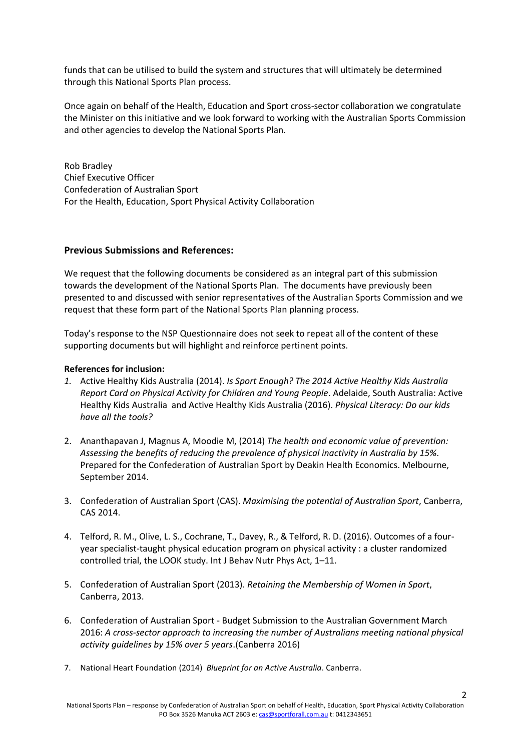funds that can be utilised to build the system and structures that will ultimately be determined through this National Sports Plan process.

Once again on behalf of the Health, Education and Sport cross-sector collaboration we congratulate the Minister on this initiative and we look forward to working with the Australian Sports Commission and other agencies to develop the National Sports Plan.

Rob Bradley Chief Executive Officer Confederation of Australian Sport For the Health, Education, Sport Physical Activity Collaboration

#### **Previous Submissions and References:**

We request that the following documents be considered as an integral part of this submission towards the development of the National Sports Plan. The documents have previously been presented to and discussed with senior representatives of the Australian Sports Commission and we request that these form part of the National Sports Plan planning process.

Today's response to the NSP Questionnaire does not seek to repeat all of the content of these supporting documents but will highlight and reinforce pertinent points.

#### **References for inclusion:**

- *1.* Active Healthy Kids Australia (2014). *Is Sport Enough? The 2014 Active Healthy Kids Australia Report Card on Physical Activity for Children and Young People*. Adelaide, South Australia: Active Healthy Kids Australia and Active Healthy Kids Australia (2016). *Physical Literacy: Do our kids have all the tools?*
- 2. Ananthapavan J, Magnus A, Moodie M, (2014) *The health and economic value of prevention: Assessing the benefits of reducing the prevalence of physical inactivity in Australia by 15%*. Prepared for the Confederation of Australian Sport by Deakin Health Economics. Melbourne, September 2014.
- 3. Confederation of Australian Sport (CAS). *Maximising the potential of Australian Sport*, Canberra, CAS 2014.
- 4. Telford, R. M., Olive, L. S., Cochrane, T., Davey, R., & Telford, R. D. (2016). Outcomes of a fouryear specialist-taught physical education program on physical activity : a cluster randomized controlled trial, the LOOK study. Int J Behav Nutr Phys Act, 1–11.
- 5. Confederation of Australian Sport (2013). *Retaining the Membership of Women in Sport*, Canberra, 2013.
- 6. Confederation of Australian Sport Budget Submission to the Australian Government March 2016: *A cross-sector approach to increasing the number of Australians meeting national physical activity guidelines by 15% over 5 years*.(Canberra 2016)
- 7. National Heart Foundation (2014) *Blueprint for an Active Australia*. Canberra.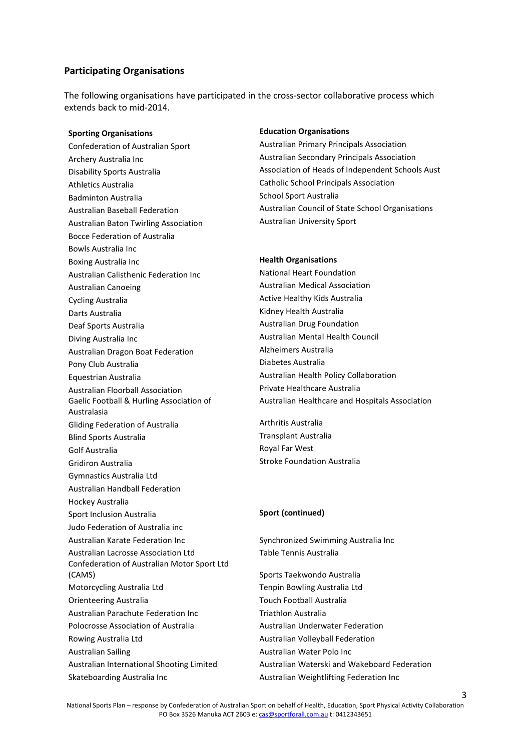#### **Participating Organisations**

The following organisations have participated in the cross-sector collaborative process which extends back to mid-2014.

Confederation of Australian Sport Australian Primary Principals Association Archery Australia Inc **Australian Secondary Principals Association** Athletics Australia Catholic School Principals Association Badminton Australia School Sport Australia Australian Baton Twirling Association **Australian University Sport** Bocce Federation of Australia Bowls Australia Inc Boxing Australia Inc **Health Organisations** Australian Calisthenic Federation Inc National Heart Foundation Australian Canoeing **Australian Medical Association** Australian Medical Association Cycling Australia **Active Healthy Kids Australia** Active Healthy Kids Australia Darts Australia National Australia National Australia National Australia Deaf Sports Australia **Australian Drug Foundation** Diving Australia Inc **Australian Mental Health Council** Australian Dragon Boat Federation Alzheimers Australia Pony Club Australia **Diabetes Australia** Equestrian Australia Australian Health Policy Collaboration Australian Floorball Association **Private Healthcare Australia** Gaelic Football & Hurling Association of Australasia Gliding Federation of Australia Arthritis Australia Blind Sports Australia Transplant Australia Golf Australia **Royal Far West** Gridiron Australia **Stroke Foundation Australia** Gymnastics Australia Ltd Australian Handball Federation Hockey Australia Sport Inclusion Australia **Sport (continued)** Judo Federation of Australia inc Australian Karate Federation Inc Synchronized Swimming Australia Inc Australian Lacrosse Association Ltd Table Tennis Australia Confederation of Australian Motor Sport Ltd (CAMS) Sports Taekwondo Australia Motorcycling Australia Ltd Tenpin Bowling Australia Ltd Orienteering Australia and Touch Football Australia Australian Parachute Federation Inc Triathlon Australia Polocrosse Association of Australia Australian Underwater Federation Rowing Australia Ltd **Australian Volleyball Federation** Australian Sailing **Australian Water Polo Inc.** 

#### **Sporting Organisations Education Organisations**

Disability Sports Australia Association of Heads of Independent Schools Aust Australian Baseball Federation **Australian Council of State School Organisations** 

Australian Healthcare and Hospitals Association

Australian International Shooting Limited Australian Waterski and Wakeboard Federation Skateboarding Australia Inc **Australian Weightlifting Federation Inc** Australian Weightlifting Federation Inc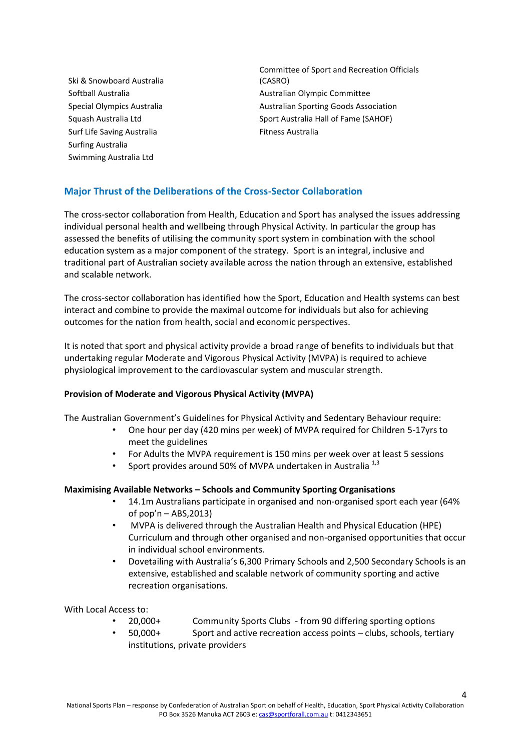Ski & Snowboard Australia Surf Life Saving Australia **Fitness Australia** Surfing Australia Swimming Australia Ltd

Committee of Sport and Recreation Officials (CASRO) Softball Australia and Australian Australian Olympic Committee Special Olympics Australia and Australian Sporting Goods Association Squash Australia Ltd Sport Australia Hall of Fame (SAHOF)

# **Major Thrust of the Deliberations of the Cross-Sector Collaboration**

The cross-sector collaboration from Health, Education and Sport has analysed the issues addressing individual personal health and wellbeing through Physical Activity. In particular the group has assessed the benefits of utilising the community sport system in combination with the school education system as a major component of the strategy. Sport is an integral, inclusive and traditional part of Australian society available across the nation through an extensive, established and scalable network.

The cross-sector collaboration has identified how the Sport, Education and Health systems can best interact and combine to provide the maximal outcome for individuals but also for achieving outcomes for the nation from health, social and economic perspectives.

It is noted that sport and physical activity provide a broad range of benefits to individuals but that undertaking regular Moderate and Vigorous Physical Activity (MVPA) is required to achieve physiological improvement to the cardiovascular system and muscular strength.

#### **Provision of Moderate and Vigorous Physical Activity (MVPA)**

The Australian Government's Guidelines for Physical Activity and Sedentary Behaviour require:

- One hour per day (420 mins per week) of MVPA required for Children 5-17yrs to meet the guidelines
- For Adults the MVPA requirement is 150 mins per week over at least 5 sessions
- Sport provides around 50% of MVPA undertaken in Australia<sup>1,3</sup>

#### **Maximising Available Networks – Schools and Community Sporting Organisations**

- 14.1m Australians participate in organised and non-organised sport each year (64% of pop'n – ABS,2013)
- MVPA is delivered through the Australian Health and Physical Education (HPE) Curriculum and through other organised and non-organised opportunities that occur in individual school environments.
- Dovetailing with Australia's 6,300 Primary Schools and 2,500 Secondary Schools is an extensive, established and scalable network of community sporting and active recreation organisations.

With Local Access to:

- 20,000+ Community Sports Clubs from 90 differing sporting options
- 50,000+ Sport and active recreation access points clubs, schools, tertiary institutions, private providers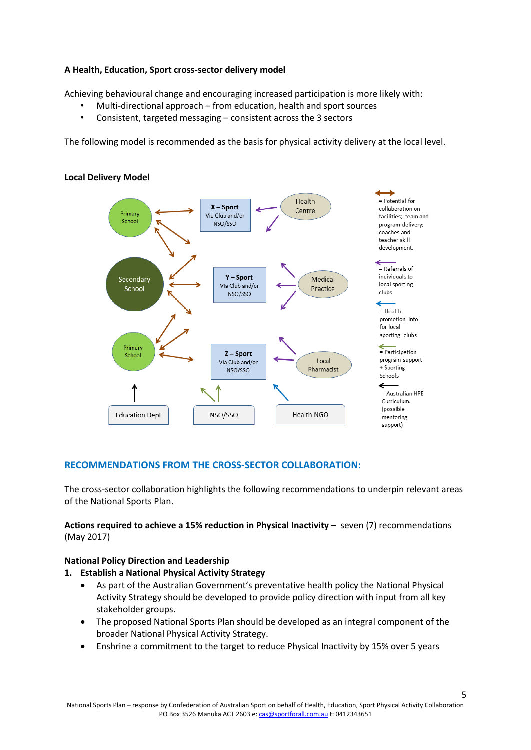## **A Health, Education, Sport cross-sector delivery model**

Achieving behavioural change and encouraging increased participation is more likely with:

- Multi-directional approach from education, health and sport sources
- Consistent, targeted messaging consistent across the 3 sectors

The following model is recommended as the basis for physical activity delivery at the local level.



# **Local Delivery Model**

# **RECOMMENDATIONS FROM THE CROSS-SECTOR COLLABORATION:**

The cross-sector collaboration highlights the following recommendations to underpin relevant areas of the National Sports Plan.

**Actions required to achieve a 15% reduction in Physical Inactivity** – seven (7) recommendations (May 2017)

#### **National Policy Direction and Leadership**

#### **1. Establish a National Physical Activity Strategy**

- As part of the Australian Government's preventative health policy the National Physical Activity Strategy should be developed to provide policy direction with input from all key stakeholder groups.
- The proposed National Sports Plan should be developed as an integral component of the broader National Physical Activity Strategy.
- Enshrine a commitment to the target to reduce Physical Inactivity by 15% over 5 years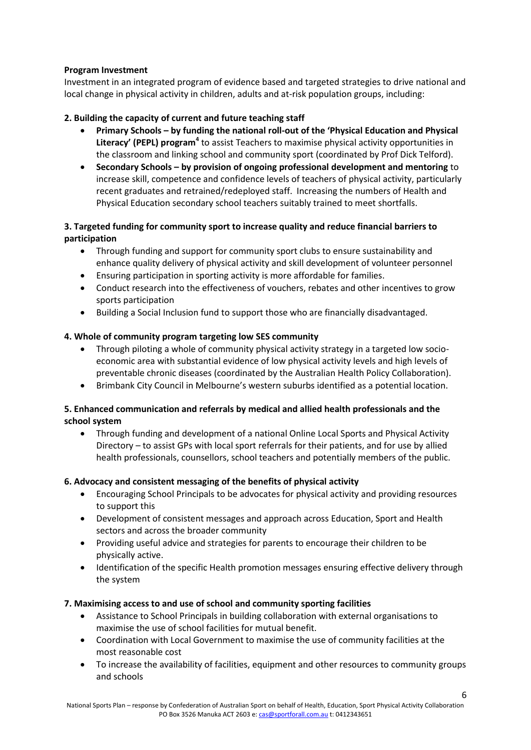# **Program Investment**

Investment in an integrated program of evidence based and targeted strategies to drive national and local change in physical activity in children, adults and at-risk population groups, including:

# **2. Building the capacity of current and future teaching staff**

- **Primary Schools – by funding the national roll-out of the 'Physical Education and Physical Literacy' (PEPL) program<sup>4</sup>** to assist Teachers to maximise physical activity opportunities in the classroom and linking school and community sport (coordinated by Prof Dick Telford).
- **Secondary Schools – by provision of ongoing professional development and mentoring** to increase skill, competence and confidence levels of teachers of physical activity, particularly recent graduates and retrained/redeployed staff. Increasing the numbers of Health and Physical Education secondary school teachers suitably trained to meet shortfalls.

# **3. Targeted funding for community sport to increase quality and reduce financial barriers to participation**

- Through funding and support for community sport clubs to ensure sustainability and enhance quality delivery of physical activity and skill development of volunteer personnel
- Ensuring participation in sporting activity is more affordable for families.
- Conduct research into the effectiveness of vouchers, rebates and other incentives to grow sports participation
- Building a Social Inclusion fund to support those who are financially disadvantaged.

# **4. Whole of community program targeting low SES community**

- Through piloting a whole of community physical activity strategy in a targeted low socioeconomic area with substantial evidence of low physical activity levels and high levels of preventable chronic diseases (coordinated by the Australian Health Policy Collaboration).
- Brimbank City Council in Melbourne's western suburbs identified as a potential location.

# **5. Enhanced communication and referrals by medical and allied health professionals and the school system**

 Through funding and development of a national Online Local Sports and Physical Activity Directory – to assist GPs with local sport referrals for their patients, and for use by allied health professionals, counsellors, school teachers and potentially members of the public.

# **6. Advocacy and consistent messaging of the benefits of physical activity**

- Encouraging School Principals to be advocates for physical activity and providing resources to support this
- Development of consistent messages and approach across Education, Sport and Health sectors and across the broader community
- Providing useful advice and strategies for parents to encourage their children to be physically active.
- Identification of the specific Health promotion messages ensuring effective delivery through the system

# **7. Maximising access to and use of school and community sporting facilities**

- Assistance to School Principals in building collaboration with external organisations to maximise the use of school facilities for mutual benefit.
- Coordination with Local Government to maximise the use of community facilities at the most reasonable cost
- To increase the availability of facilities, equipment and other resources to community groups and schools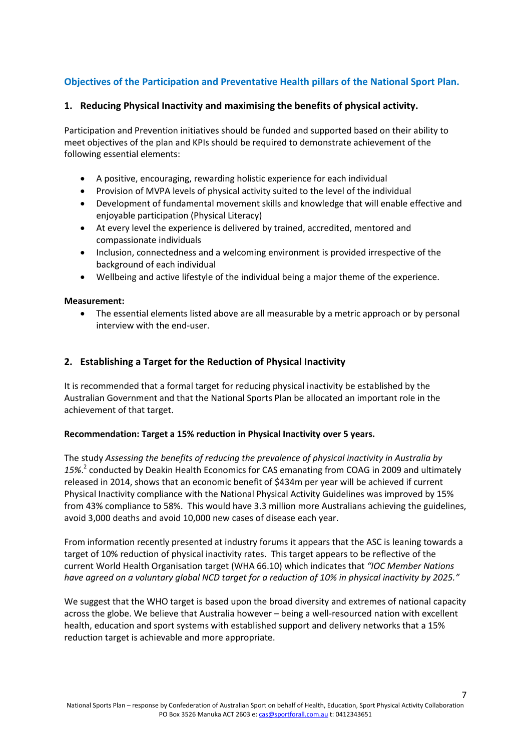# **Objectives of the Participation and Preventative Health pillars of the National Sport Plan.**

# **1. Reducing Physical Inactivity and maximising the benefits of physical activity.**

Participation and Prevention initiatives should be funded and supported based on their ability to meet objectives of the plan and KPIs should be required to demonstrate achievement of the following essential elements:

- A positive, encouraging, rewarding holistic experience for each individual
- Provision of MVPA levels of physical activity suited to the level of the individual
- Development of fundamental movement skills and knowledge that will enable effective and enjoyable participation (Physical Literacy)
- At every level the experience is delivered by trained, accredited, mentored and compassionate individuals
- Inclusion, connectedness and a welcoming environment is provided irrespective of the background of each individual
- Wellbeing and active lifestyle of the individual being a major theme of the experience.

#### **Measurement:**

 The essential elements listed above are all measurable by a metric approach or by personal interview with the end-user.

### **2. Establishing a Target for the Reduction of Physical Inactivity**

It is recommended that a formal target for reducing physical inactivity be established by the Australian Government and that the National Sports Plan be allocated an important role in the achievement of that target.

#### **Recommendation: Target a 15% reduction in Physical Inactivity over 5 years.**

The study *Assessing the benefits of reducing the prevalence of physical inactivity in Australia by 15%*. 2 conducted by Deakin Health Economics for CAS emanating from COAG in 2009 and ultimately released in 2014, shows that an economic benefit of \$434m per year will be achieved if current Physical Inactivity compliance with the National Physical Activity Guidelines was improved by 15% from 43% compliance to 58%. This would have 3.3 million more Australians achieving the guidelines, avoid 3,000 deaths and avoid 10,000 new cases of disease each year.

From information recently presented at industry forums it appears that the ASC is leaning towards a target of 10% reduction of physical inactivity rates. This target appears to be reflective of the current World Health Organisation target (WHA 66.10) which indicates that *"IOC Member Nations have agreed on a voluntary global NCD target for a reduction of 10% in physical inactivity by 2025."*

We suggest that the WHO target is based upon the broad diversity and extremes of national capacity across the globe. We believe that Australia however – being a well-resourced nation with excellent health, education and sport systems with established support and delivery networks that a 15% reduction target is achievable and more appropriate.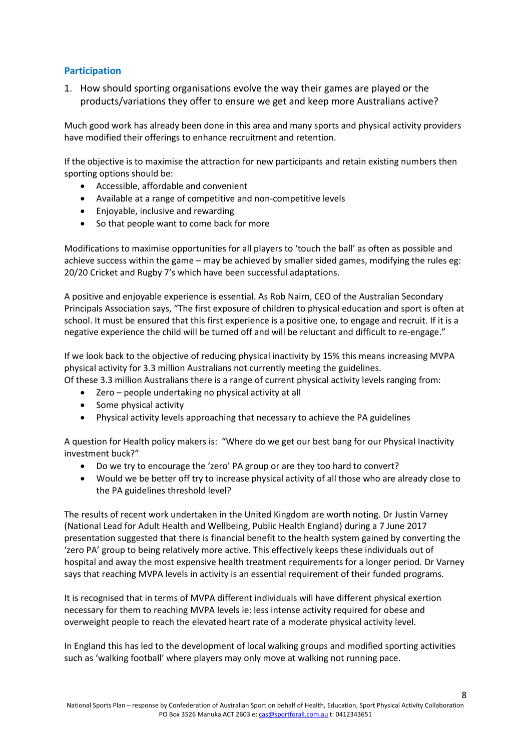# **Participation**

1. How should sporting organisations evolve the way their games are played or the products/variations they offer to ensure we get and keep more Australians active?

Much good work has already been done in this area and many sports and physical activity providers have modified their offerings to enhance recruitment and retention.

If the objective is to maximise the attraction for new participants and retain existing numbers then sporting options should be:

- Accessible, affordable and convenient
- Available at a range of competitive and non-competitive levels
- Enjoyable, inclusive and rewarding
- So that people want to come back for more

Modifications to maximise opportunities for all players to 'touch the ball' as often as possible and achieve success within the game – may be achieved by smaller sided games, modifying the rules eg: 20/20 Cricket and Rugby 7's which have been successful adaptations.

A positive and enjoyable experience is essential. As Rob Nairn, CEO of the Australian Secondary Principals Association says, "The first exposure of children to physical education and sport is often at school. It must be ensured that this first experience is a positive one, to engage and recruit. If it is a negative experience the child will be turned off and will be reluctant and difficult to re-engage."

If we look back to the objective of reducing physical inactivity by 15% this means increasing MVPA physical activity for 3.3 million Australians not currently meeting the guidelines.

Of these 3.3 million Australians there is a range of current physical activity levels ranging from:

- Zero people undertaking no physical activity at all
- Some physical activity
- Physical activity levels approaching that necessary to achieve the PA guidelines

A question for Health policy makers is: "Where do we get our best bang for our Physical Inactivity investment buck?"

- Do we try to encourage the 'zero' PA group or are they too hard to convert?
- Would we be better off try to increase physical activity of all those who are already close to the PA guidelines threshold level?

The results of recent work undertaken in the United Kingdom are worth noting. Dr Justin Varney (National Lead for Adult Health and Wellbeing, Public Health England) during a 7 June 2017 presentation suggested that there is financial benefit to the health system gained by converting the 'zero PA' group to being relatively more active. This effectively keeps these individuals out of hospital and away the most expensive health treatment requirements for a longer period. Dr Varney says that reaching MVPA levels in activity is an essential requirement of their funded programs.

It is recognised that in terms of MVPA different individuals will have different physical exertion necessary for them to reaching MVPA levels ie: less intense activity required for obese and overweight people to reach the elevated heart rate of a moderate physical activity level.

In England this has led to the development of local walking groups and modified sporting activities such as 'walking football' where players may only move at walking not running pace.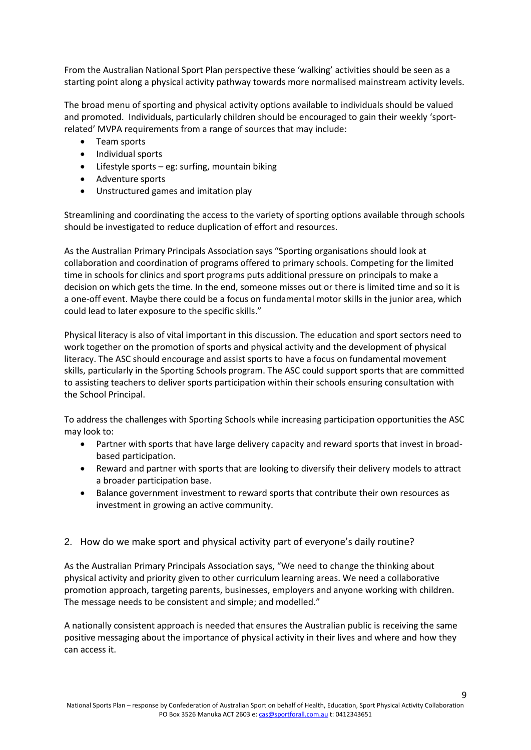From the Australian National Sport Plan perspective these 'walking' activities should be seen as a starting point along a physical activity pathway towards more normalised mainstream activity levels.

The broad menu of sporting and physical activity options available to individuals should be valued and promoted. Individuals, particularly children should be encouraged to gain their weekly 'sportrelated' MVPA requirements from a range of sources that may include:

- Team sports
- Individual sports
- Lifestyle sports eg: surfing, mountain biking
- Adventure sports
- Unstructured games and imitation play

Streamlining and coordinating the access to the variety of sporting options available through schools should be investigated to reduce duplication of effort and resources.

As the Australian Primary Principals Association says "Sporting organisations should look at collaboration and coordination of programs offered to primary schools. Competing for the limited time in schools for clinics and sport programs puts additional pressure on principals to make a decision on which gets the time. In the end, someone misses out or there is limited time and so it is a one-off event. Maybe there could be a focus on fundamental motor skills in the junior area, which could lead to later exposure to the specific skills."

Physical literacy is also of vital important in this discussion. The education and sport sectors need to work together on the promotion of sports and physical activity and the development of physical literacy. The ASC should encourage and assist sports to have a focus on fundamental movement skills, particularly in the Sporting Schools program. The ASC could support sports that are committed to assisting teachers to deliver sports participation within their schools ensuring consultation with the School Principal.

To address the challenges with Sporting Schools while increasing participation opportunities the ASC may look to:

- Partner with sports that have large delivery capacity and reward sports that invest in broadbased participation.
- Reward and partner with sports that are looking to diversify their delivery models to attract a broader participation base.
- Balance government investment to reward sports that contribute their own resources as investment in growing an active community.

# 2. How do we make sport and physical activity part of everyone's daily routine?

As the Australian Primary Principals Association says, "We need to change the thinking about physical activity and priority given to other curriculum learning areas. We need a collaborative promotion approach, targeting parents, businesses, employers and anyone working with children. The message needs to be consistent and simple; and modelled."

A nationally consistent approach is needed that ensures the Australian public is receiving the same positive messaging about the importance of physical activity in their lives and where and how they can access it.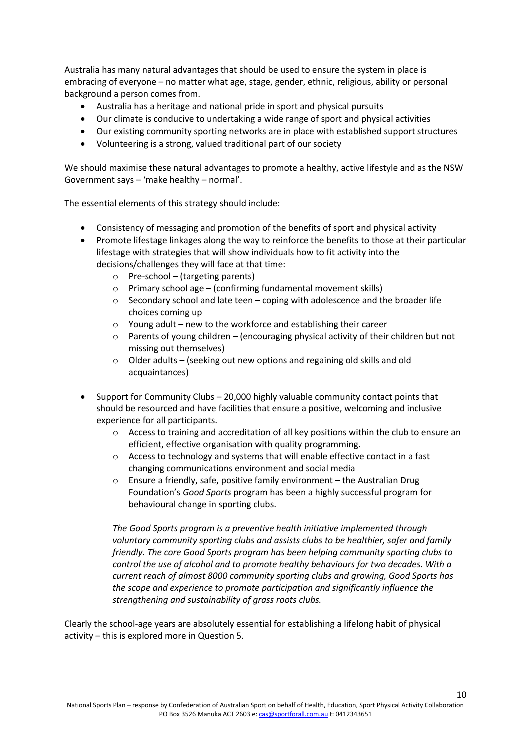Australia has many natural advantages that should be used to ensure the system in place is embracing of everyone – no matter what age, stage, gender, ethnic, religious, ability or personal background a person comes from.

- Australia has a heritage and national pride in sport and physical pursuits
- Our climate is conducive to undertaking a wide range of sport and physical activities
- Our existing community sporting networks are in place with established support structures
- Volunteering is a strong, valued traditional part of our society

We should maximise these natural advantages to promote a healthy, active lifestyle and as the NSW Government says – 'make healthy – normal'.

The essential elements of this strategy should include:

- Consistency of messaging and promotion of the benefits of sport and physical activity
- Promote lifestage linkages along the way to reinforce the benefits to those at their particular lifestage with strategies that will show individuals how to fit activity into the decisions/challenges they will face at that time:
	- $\circ$  Pre-school (targeting parents)
	- o Primary school age (confirming fundamental movement skills)
	- o Secondary school and late teen coping with adolescence and the broader life choices coming up
	- $\circ$  Young adult new to the workforce and establishing their career
	- $\circ$  Parents of young children (encouraging physical activity of their children but not missing out themselves)
	- o Older adults (seeking out new options and regaining old skills and old acquaintances)
- Support for Community Clubs 20,000 highly valuable community contact points that should be resourced and have facilities that ensure a positive, welcoming and inclusive experience for all participants.
	- o Access to training and accreditation of all key positions within the club to ensure an efficient, effective organisation with quality programming.
	- o Access to technology and systems that will enable effective contact in a fast changing communications environment and social media
	- o Ensure a friendly, safe, positive family environment the Australian Drug Foundation's *Good Sports* program has been a highly successful program for behavioural change in sporting clubs.

*The Good Sports program is a preventive health initiative implemented through voluntary community sporting clubs and assists clubs to be healthier, safer and family friendly. The core Good Sports program has been helping community sporting clubs to control the use of alcohol and to promote healthy behaviours for two decades. With a current reach of almost 8000 community sporting clubs and growing, Good Sports has the scope and experience to promote participation and significantly influence the strengthening and sustainability of grass roots clubs.* 

Clearly the school-age years are absolutely essential for establishing a lifelong habit of physical activity – this is explored more in Question 5.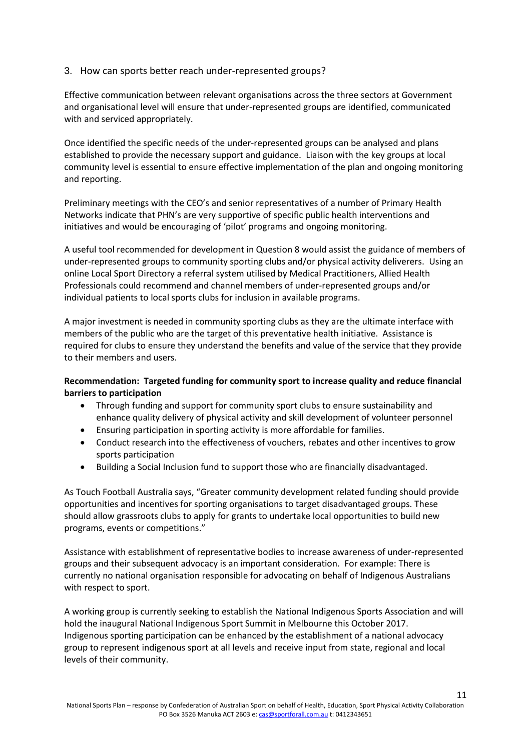# 3. How can sports better reach under-represented groups?

Effective communication between relevant organisations across the three sectors at Government and organisational level will ensure that under-represented groups are identified, communicated with and serviced appropriately.

Once identified the specific needs of the under-represented groups can be analysed and plans established to provide the necessary support and guidance. Liaison with the key groups at local community level is essential to ensure effective implementation of the plan and ongoing monitoring and reporting.

Preliminary meetings with the CEO's and senior representatives of a number of Primary Health Networks indicate that PHN's are very supportive of specific public health interventions and initiatives and would be encouraging of 'pilot' programs and ongoing monitoring.

A useful tool recommended for development in Question 8 would assist the guidance of members of under-represented groups to community sporting clubs and/or physical activity deliverers. Using an online Local Sport Directory a referral system utilised by Medical Practitioners, Allied Health Professionals could recommend and channel members of under-represented groups and/or individual patients to local sports clubs for inclusion in available programs.

A major investment is needed in community sporting clubs as they are the ultimate interface with members of the public who are the target of this preventative health initiative. Assistance is required for clubs to ensure they understand the benefits and value of the service that they provide to their members and users.

### **Recommendation: Targeted funding for community sport to increase quality and reduce financial barriers to participation**

- Through funding and support for community sport clubs to ensure sustainability and enhance quality delivery of physical activity and skill development of volunteer personnel
- Ensuring participation in sporting activity is more affordable for families.
- Conduct research into the effectiveness of vouchers, rebates and other incentives to grow sports participation
- Building a Social Inclusion fund to support those who are financially disadvantaged.

As Touch Football Australia says, "Greater community development related funding should provide opportunities and incentives for sporting organisations to target disadvantaged groups. These should allow grassroots clubs to apply for grants to undertake local opportunities to build new programs, events or competitions."

Assistance with establishment of representative bodies to increase awareness of under-represented groups and their subsequent advocacy is an important consideration. For example: There is currently no national organisation responsible for advocating on behalf of Indigenous Australians with respect to sport.

A working group is currently seeking to establish the National Indigenous Sports Association and will hold the inaugural National Indigenous Sport Summit in Melbourne this October 2017. Indigenous sporting participation can be enhanced by the establishment of a national advocacy group to represent indigenous sport at all levels and receive input from state, regional and local levels of their community.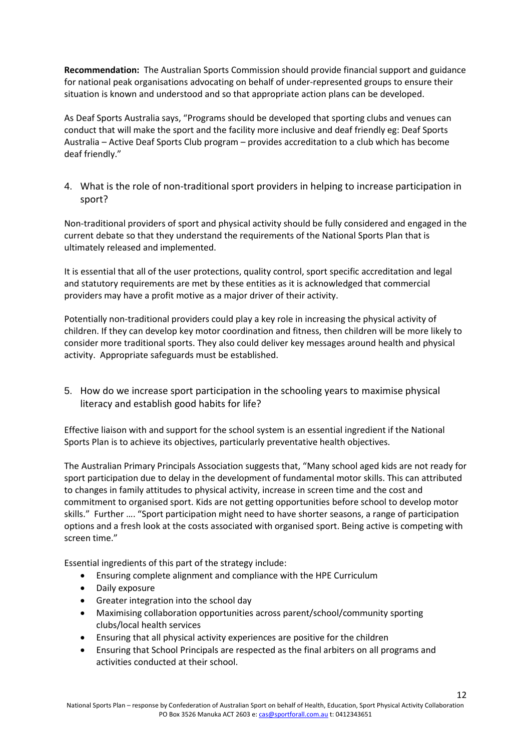**Recommendation:** The Australian Sports Commission should provide financial support and guidance for national peak organisations advocating on behalf of under-represented groups to ensure their situation is known and understood and so that appropriate action plans can be developed.

As Deaf Sports Australia says, "Programs should be developed that sporting clubs and venues can conduct that will make the sport and the facility more inclusive and deaf friendly eg: Deaf Sports Australia – Active Deaf Sports Club program – provides accreditation to a club which has become deaf friendly."

4. What is the role of non-traditional sport providers in helping to increase participation in sport?

Non-traditional providers of sport and physical activity should be fully considered and engaged in the current debate so that they understand the requirements of the National Sports Plan that is ultimately released and implemented.

It is essential that all of the user protections, quality control, sport specific accreditation and legal and statutory requirements are met by these entities as it is acknowledged that commercial providers may have a profit motive as a major driver of their activity.

Potentially non-traditional providers could play a key role in increasing the physical activity of children. If they can develop key motor coordination and fitness, then children will be more likely to consider more traditional sports. They also could deliver key messages around health and physical activity. Appropriate safeguards must be established.

5. How do we increase sport participation in the schooling years to maximise physical literacy and establish good habits for life?

Effective liaison with and support for the school system is an essential ingredient if the National Sports Plan is to achieve its objectives, particularly preventative health objectives.

The Australian Primary Principals Association suggests that, "Many school aged kids are not ready for sport participation due to delay in the development of fundamental motor skills. This can attributed to changes in family attitudes to physical activity, increase in screen time and the cost and commitment to organised sport. Kids are not getting opportunities before school to develop motor skills." Further …. "Sport participation might need to have shorter seasons, a range of participation options and a fresh look at the costs associated with organised sport. Being active is competing with screen time."

Essential ingredients of this part of the strategy include:

- Ensuring complete alignment and compliance with the HPE Curriculum
- Daily exposure
- Greater integration into the school day
- Maximising collaboration opportunities across parent/school/community sporting clubs/local health services
- Ensuring that all physical activity experiences are positive for the children
- Ensuring that School Principals are respected as the final arbiters on all programs and activities conducted at their school.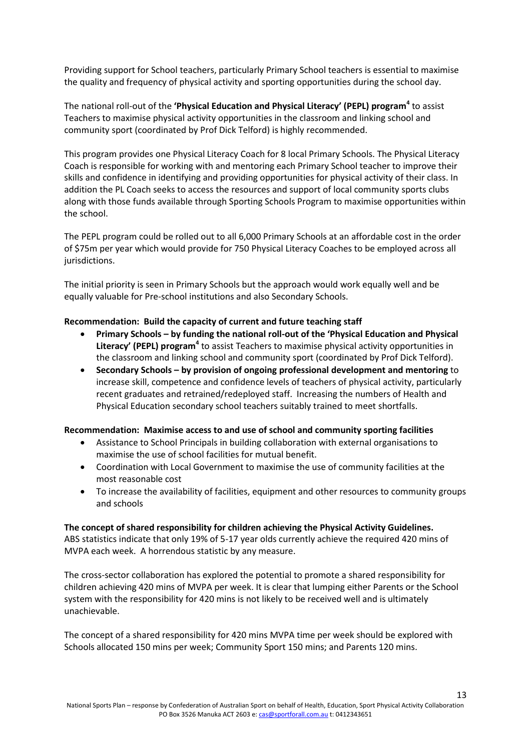Providing support for School teachers, particularly Primary School teachers is essential to maximise the quality and frequency of physical activity and sporting opportunities during the school day.

The national roll-out of the **'Physical Education and Physical Literacy' (PEPL) program<sup>4</sup>** to assist Teachers to maximise physical activity opportunities in the classroom and linking school and community sport (coordinated by Prof Dick Telford) is highly recommended.

This program provides one Physical Literacy Coach for 8 local Primary Schools. The Physical Literacy Coach is responsible for working with and mentoring each Primary School teacher to improve their skills and confidence in identifying and providing opportunities for physical activity of their class. In addition the PL Coach seeks to access the resources and support of local community sports clubs along with those funds available through Sporting Schools Program to maximise opportunities within the school.

The PEPL program could be rolled out to all 6,000 Primary Schools at an affordable cost in the order of \$75m per year which would provide for 750 Physical Literacy Coaches to be employed across all jurisdictions.

The initial priority is seen in Primary Schools but the approach would work equally well and be equally valuable for Pre-school institutions and also Secondary Schools.

#### **Recommendation: Build the capacity of current and future teaching staff**

- **Primary Schools – by funding the national roll-out of the 'Physical Education and Physical Literacy' (PEPL) program<sup>4</sup>** to assist Teachers to maximise physical activity opportunities in the classroom and linking school and community sport (coordinated by Prof Dick Telford).
- **Secondary Schools – by provision of ongoing professional development and mentoring** to increase skill, competence and confidence levels of teachers of physical activity, particularly recent graduates and retrained/redeployed staff. Increasing the numbers of Health and Physical Education secondary school teachers suitably trained to meet shortfalls.

#### **Recommendation: Maximise access to and use of school and community sporting facilities**

- Assistance to School Principals in building collaboration with external organisations to maximise the use of school facilities for mutual benefit.
- Coordination with Local Government to maximise the use of community facilities at the most reasonable cost
- To increase the availability of facilities, equipment and other resources to community groups and schools

#### **The concept of shared responsibility for children achieving the Physical Activity Guidelines.**

ABS statistics indicate that only 19% of 5-17 year olds currently achieve the required 420 mins of MVPA each week. A horrendous statistic by any measure.

The cross-sector collaboration has explored the potential to promote a shared responsibility for children achieving 420 mins of MVPA per week. It is clear that lumping either Parents or the School system with the responsibility for 420 mins is not likely to be received well and is ultimately unachievable.

The concept of a shared responsibility for 420 mins MVPA time per week should be explored with Schools allocated 150 mins per week; Community Sport 150 mins; and Parents 120 mins.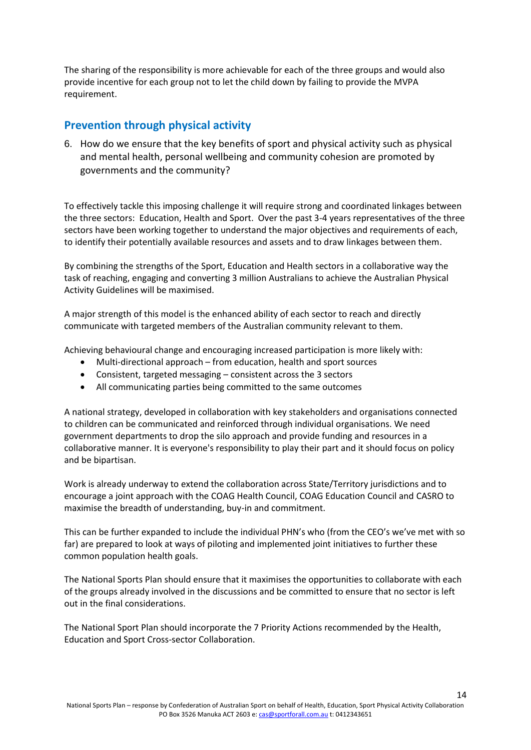The sharing of the responsibility is more achievable for each of the three groups and would also provide incentive for each group not to let the child down by failing to provide the MVPA requirement.

# **Prevention through physical activity**

6. How do we ensure that the key benefits of sport and physical activity such as physical and mental health, personal wellbeing and community cohesion are promoted by governments and the community?

To effectively tackle this imposing challenge it will require strong and coordinated linkages between the three sectors: Education, Health and Sport. Over the past 3-4 years representatives of the three sectors have been working together to understand the major objectives and requirements of each, to identify their potentially available resources and assets and to draw linkages between them.

By combining the strengths of the Sport, Education and Health sectors in a collaborative way the task of reaching, engaging and converting 3 million Australians to achieve the Australian Physical Activity Guidelines will be maximised.

A major strength of this model is the enhanced ability of each sector to reach and directly communicate with targeted members of the Australian community relevant to them.

Achieving behavioural change and encouraging increased participation is more likely with:

- Multi-directional approach from education, health and sport sources
- Consistent, targeted messaging consistent across the 3 sectors
- All communicating parties being committed to the same outcomes

A national strategy, developed in collaboration with key stakeholders and organisations connected to children can be communicated and reinforced through individual organisations. We need government departments to drop the silo approach and provide funding and resources in a collaborative manner. It is everyone's responsibility to play their part and it should focus on policy and be bipartisan.

Work is already underway to extend the collaboration across State/Territory jurisdictions and to encourage a joint approach with the COAG Health Council, COAG Education Council and CASRO to maximise the breadth of understanding, buy-in and commitment.

This can be further expanded to include the individual PHN's who (from the CEO's we've met with so far) are prepared to look at ways of piloting and implemented joint initiatives to further these common population health goals.

The National Sports Plan should ensure that it maximises the opportunities to collaborate with each of the groups already involved in the discussions and be committed to ensure that no sector is left out in the final considerations.

The National Sport Plan should incorporate the 7 Priority Actions recommended by the Health, Education and Sport Cross-sector Collaboration.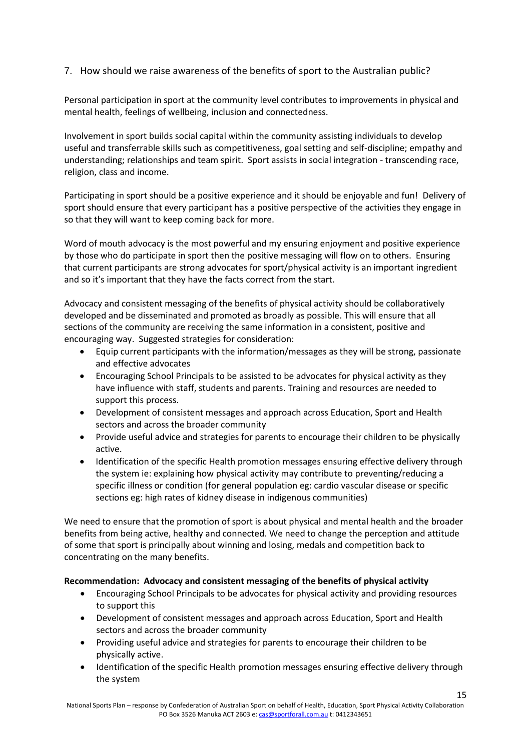# 7. How should we raise awareness of the benefits of sport to the Australian public?

Personal participation in sport at the community level contributes to improvements in physical and mental health, feelings of wellbeing, inclusion and connectedness.

Involvement in sport builds social capital within the community assisting individuals to develop useful and transferrable skills such as competitiveness, goal setting and self-discipline; empathy and understanding; relationships and team spirit. Sport assists in social integration - transcending race, religion, class and income.

Participating in sport should be a positive experience and it should be enjoyable and fun! Delivery of sport should ensure that every participant has a positive perspective of the activities they engage in so that they will want to keep coming back for more.

Word of mouth advocacy is the most powerful and my ensuring enjoyment and positive experience by those who do participate in sport then the positive messaging will flow on to others. Ensuring that current participants are strong advocates for sport/physical activity is an important ingredient and so it's important that they have the facts correct from the start.

Advocacy and consistent messaging of the benefits of physical activity should be collaboratively developed and be disseminated and promoted as broadly as possible. This will ensure that all sections of the community are receiving the same information in a consistent, positive and encouraging way. Suggested strategies for consideration:

- Equip current participants with the information/messages as they will be strong, passionate and effective advocates
- Encouraging School Principals to be assisted to be advocates for physical activity as they have influence with staff, students and parents. Training and resources are needed to support this process.
- Development of consistent messages and approach across Education, Sport and Health sectors and across the broader community
- Provide useful advice and strategies for parents to encourage their children to be physically active.
- Identification of the specific Health promotion messages ensuring effective delivery through the system ie: explaining how physical activity may contribute to preventing/reducing a specific illness or condition (for general population eg: cardio vascular disease or specific sections eg: high rates of kidney disease in indigenous communities)

We need to ensure that the promotion of sport is about physical and mental health and the broader benefits from being active, healthy and connected. We need to change the perception and attitude of some that sport is principally about winning and losing, medals and competition back to concentrating on the many benefits.

# **Recommendation: Advocacy and consistent messaging of the benefits of physical activity**

- Encouraging School Principals to be advocates for physical activity and providing resources to support this
- Development of consistent messages and approach across Education, Sport and Health sectors and across the broader community
- Providing useful advice and strategies for parents to encourage their children to be physically active.
- Identification of the specific Health promotion messages ensuring effective delivery through the system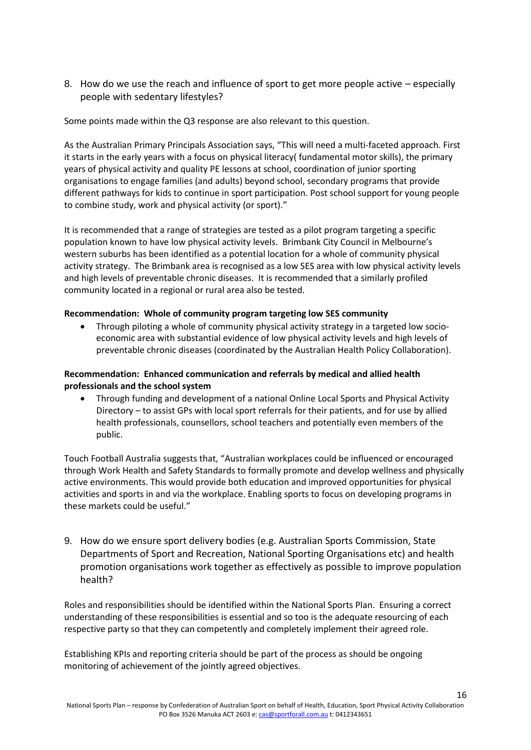8. How do we use the reach and influence of sport to get more people active – especially people with sedentary lifestyles?

Some points made within the Q3 response are also relevant to this question.

As the Australian Primary Principals Association says, "This will need a multi-faceted approach. First it starts in the early years with a focus on physical literacy( fundamental motor skills), the primary years of physical activity and quality PE lessons at school, coordination of junior sporting organisations to engage families (and adults) beyond school, secondary programs that provide different pathways for kids to continue in sport participation. Post school support for young people to combine study, work and physical activity (or sport)."

It is recommended that a range of strategies are tested as a pilot program targeting a specific population known to have low physical activity levels. Brimbank City Council in Melbourne's western suburbs has been identified as a potential location for a whole of community physical activity strategy. The Brimbank area is recognised as a low SES area with low physical activity levels and high levels of preventable chronic diseases. It is recommended that a similarly profiled community located in a regional or rural area also be tested.

#### **Recommendation: Whole of community program targeting low SES community**

 Through piloting a whole of community physical activity strategy in a targeted low socioeconomic area with substantial evidence of low physical activity levels and high levels of preventable chronic diseases (coordinated by the Australian Health Policy Collaboration).

## **Recommendation: Enhanced communication and referrals by medical and allied health professionals and the school system**

 Through funding and development of a national Online Local Sports and Physical Activity Directory – to assist GPs with local sport referrals for their patients, and for use by allied health professionals, counsellors, school teachers and potentially even members of the public.

Touch Football Australia suggests that, "Australian workplaces could be influenced or encouraged through Work Health and Safety Standards to formally promote and develop wellness and physically active environments. This would provide both education and improved opportunities for physical activities and sports in and via the workplace. Enabling sports to focus on developing programs in these markets could be useful."

9. How do we ensure sport delivery bodies (e.g. Australian Sports Commission, State Departments of Sport and Recreation, National Sporting Organisations etc) and health promotion organisations work together as effectively as possible to improve population health?

Roles and responsibilities should be identified within the National Sports Plan. Ensuring a correct understanding of these responsibilities is essential and so too is the adequate resourcing of each respective party so that they can competently and completely implement their agreed role.

Establishing KPIs and reporting criteria should be part of the process as should be ongoing monitoring of achievement of the jointly agreed objectives.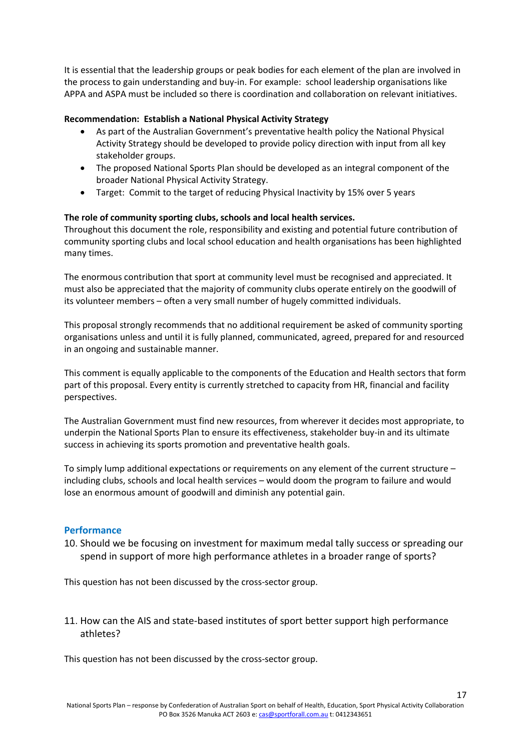It is essential that the leadership groups or peak bodies for each element of the plan are involved in the process to gain understanding and buy-in. For example: school leadership organisations like APPA and ASPA must be included so there is coordination and collaboration on relevant initiatives.

### **Recommendation: Establish a National Physical Activity Strategy**

- As part of the Australian Government's preventative health policy the National Physical Activity Strategy should be developed to provide policy direction with input from all key stakeholder groups.
- The proposed National Sports Plan should be developed as an integral component of the broader National Physical Activity Strategy.
- Target: Commit to the target of reducing Physical Inactivity by 15% over 5 years

### **The role of community sporting clubs, schools and local health services.**

Throughout this document the role, responsibility and existing and potential future contribution of community sporting clubs and local school education and health organisations has been highlighted many times.

The enormous contribution that sport at community level must be recognised and appreciated. It must also be appreciated that the majority of community clubs operate entirely on the goodwill of its volunteer members – often a very small number of hugely committed individuals.

This proposal strongly recommends that no additional requirement be asked of community sporting organisations unless and until it is fully planned, communicated, agreed, prepared for and resourced in an ongoing and sustainable manner.

This comment is equally applicable to the components of the Education and Health sectors that form part of this proposal. Every entity is currently stretched to capacity from HR, financial and facility perspectives.

The Australian Government must find new resources, from wherever it decides most appropriate, to underpin the National Sports Plan to ensure its effectiveness, stakeholder buy-in and its ultimate success in achieving its sports promotion and preventative health goals.

To simply lump additional expectations or requirements on any element of the current structure – including clubs, schools and local health services – would doom the program to failure and would lose an enormous amount of goodwill and diminish any potential gain.

#### **Performance**

10. Should we be focusing on investment for maximum medal tally success or spreading our spend in support of more high performance athletes in a broader range of sports?

This question has not been discussed by the cross-sector group.

11. How can the AIS and state-based institutes of sport better support high performance athletes?

This question has not been discussed by the cross-sector group.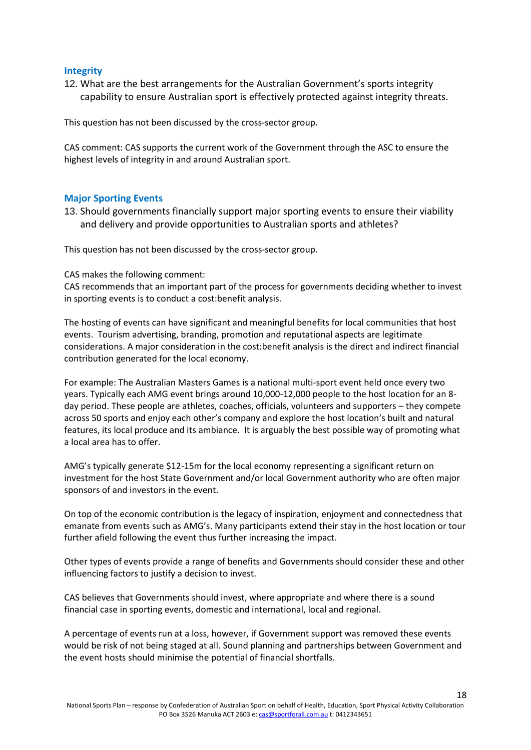## **Integrity**

12. What are the best arrangements for the Australian Government's sports integrity capability to ensure Australian sport is effectively protected against integrity threats.

This question has not been discussed by the cross-sector group.

CAS comment: CAS supports the current work of the Government through the ASC to ensure the highest levels of integrity in and around Australian sport.

#### **Major Sporting Events**

13. Should governments financially support major sporting events to ensure their viability and delivery and provide opportunities to Australian sports and athletes?

This question has not been discussed by the cross-sector group.

#### CAS makes the following comment:

CAS recommends that an important part of the process for governments deciding whether to invest in sporting events is to conduct a cost:benefit analysis.

The hosting of events can have significant and meaningful benefits for local communities that host events. Tourism advertising, branding, promotion and reputational aspects are legitimate considerations. A major consideration in the cost:benefit analysis is the direct and indirect financial contribution generated for the local economy.

For example: The Australian Masters Games is a national multi-sport event held once every two years. Typically each AMG event brings around 10,000-12,000 people to the host location for an 8 day period. These people are athletes, coaches, officials, volunteers and supporters – they compete across 50 sports and enjoy each other's company and explore the host location's built and natural features, its local produce and its ambiance. It is arguably the best possible way of promoting what a local area has to offer.

AMG's typically generate \$12-15m for the local economy representing a significant return on investment for the host State Government and/or local Government authority who are often major sponsors of and investors in the event.

On top of the economic contribution is the legacy of inspiration, enjoyment and connectedness that emanate from events such as AMG's. Many participants extend their stay in the host location or tour further afield following the event thus further increasing the impact.

Other types of events provide a range of benefits and Governments should consider these and other influencing factors to justify a decision to invest.

CAS believes that Governments should invest, where appropriate and where there is a sound financial case in sporting events, domestic and international, local and regional.

A percentage of events run at a loss, however, if Government support was removed these events would be risk of not being staged at all. Sound planning and partnerships between Government and the event hosts should minimise the potential of financial shortfalls.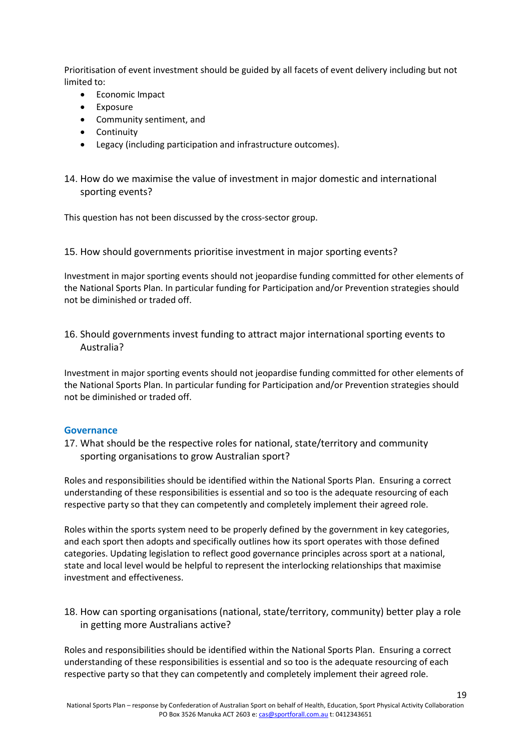Prioritisation of event investment should be guided by all facets of event delivery including but not limited to:

- Economic Impact
- Exposure
- Community sentiment, and
- Continuity
- Legacy (including participation and infrastructure outcomes).
- 14. How do we maximise the value of investment in major domestic and international sporting events?

This question has not been discussed by the cross-sector group.

15. How should governments prioritise investment in major sporting events?

Investment in major sporting events should not jeopardise funding committed for other elements of the National Sports Plan. In particular funding for Participation and/or Prevention strategies should not be diminished or traded off.

16. Should governments invest funding to attract major international sporting events to Australia?

Investment in major sporting events should not jeopardise funding committed for other elements of the National Sports Plan. In particular funding for Participation and/or Prevention strategies should not be diminished or traded off.

#### **Governance**

17. What should be the respective roles for national, state/territory and community sporting organisations to grow Australian sport?

Roles and responsibilities should be identified within the National Sports Plan. Ensuring a correct understanding of these responsibilities is essential and so too is the adequate resourcing of each respective party so that they can competently and completely implement their agreed role.

Roles within the sports system need to be properly defined by the government in key categories, and each sport then adopts and specifically outlines how its sport operates with those defined categories. Updating legislation to reflect good governance principles across sport at a national, state and local level would be helpful to represent the interlocking relationships that maximise investment and effectiveness.

18. How can sporting organisations (national, state/territory, community) better play a role in getting more Australians active?

Roles and responsibilities should be identified within the National Sports Plan. Ensuring a correct understanding of these responsibilities is essential and so too is the adequate resourcing of each respective party so that they can competently and completely implement their agreed role.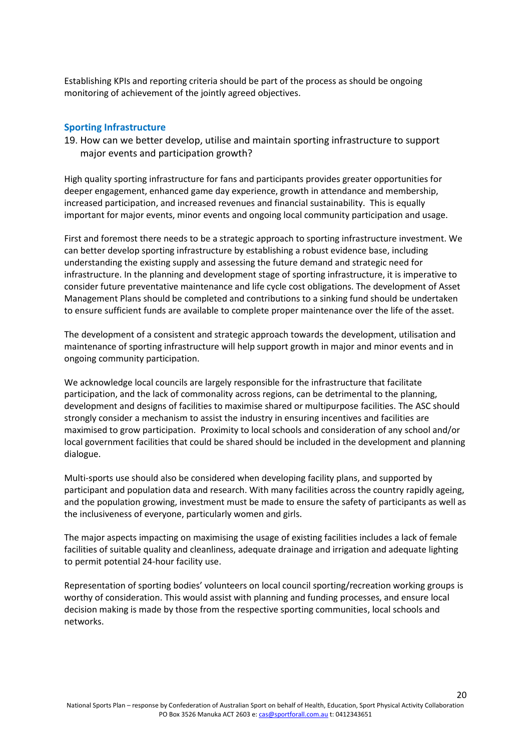Establishing KPIs and reporting criteria should be part of the process as should be ongoing monitoring of achievement of the jointly agreed objectives.

#### **Sporting Infrastructure**

19. How can we better develop, utilise and maintain sporting infrastructure to support major events and participation growth?

High quality sporting infrastructure for fans and participants provides greater opportunities for deeper engagement, enhanced game day experience, growth in attendance and membership, increased participation, and increased revenues and financial sustainability. This is equally important for major events, minor events and ongoing local community participation and usage.

First and foremost there needs to be a strategic approach to sporting infrastructure investment. We can better develop sporting infrastructure by establishing a robust evidence base, including understanding the existing supply and assessing the future demand and strategic need for infrastructure. In the planning and development stage of sporting infrastructure, it is imperative to consider future preventative maintenance and life cycle cost obligations. The development of Asset Management Plans should be completed and contributions to a sinking fund should be undertaken to ensure sufficient funds are available to complete proper maintenance over the life of the asset.

The development of a consistent and strategic approach towards the development, utilisation and maintenance of sporting infrastructure will help support growth in major and minor events and in ongoing community participation.

We acknowledge local councils are largely responsible for the infrastructure that facilitate participation, and the lack of commonality across regions, can be detrimental to the planning, development and designs of facilities to maximise shared or multipurpose facilities. The ASC should strongly consider a mechanism to assist the industry in ensuring incentives and facilities are maximised to grow participation. Proximity to local schools and consideration of any school and/or local government facilities that could be shared should be included in the development and planning dialogue.

Multi-sports use should also be considered when developing facility plans, and supported by participant and population data and research. With many facilities across the country rapidly ageing, and the population growing, investment must be made to ensure the safety of participants as well as the inclusiveness of everyone, particularly women and girls.

The major aspects impacting on maximising the usage of existing facilities includes a lack of female facilities of suitable quality and cleanliness, adequate drainage and irrigation and adequate lighting to permit potential 24-hour facility use.

Representation of sporting bodies' volunteers on local council sporting/recreation working groups is worthy of consideration. This would assist with planning and funding processes, and ensure local decision making is made by those from the respective sporting communities, local schools and networks.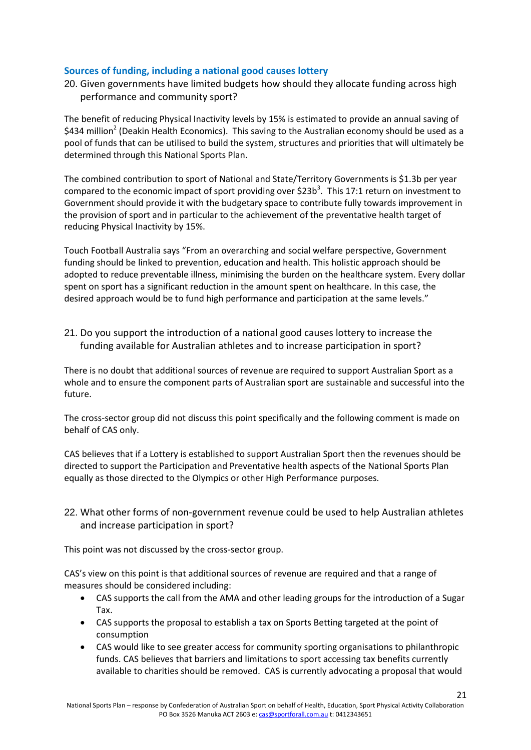# **Sources of funding, including a national good causes lottery**

20. Given governments have limited budgets how should they allocate funding across high performance and community sport?

The benefit of reducing Physical Inactivity levels by 15% is estimated to provide an annual saving of \$434 million<sup>2</sup> (Deakin Health Economics). This saving to the Australian economy should be used as a pool of funds that can be utilised to build the system, structures and priorities that will ultimately be determined through this National Sports Plan.

The combined contribution to sport of National and State/Territory Governments is \$1.3b per year compared to the economic impact of sport providing over \$23b<sup>3</sup>. This 17:1 return on investment to Government should provide it with the budgetary space to contribute fully towards improvement in the provision of sport and in particular to the achievement of the preventative health target of reducing Physical Inactivity by 15%.

Touch Football Australia says "From an overarching and social welfare perspective, Government funding should be linked to prevention, education and health. This holistic approach should be adopted to reduce preventable illness, minimising the burden on the healthcare system. Every dollar spent on sport has a significant reduction in the amount spent on healthcare. In this case, the desired approach would be to fund high performance and participation at the same levels."

21. Do you support the introduction of a national good causes lottery to increase the funding available for Australian athletes and to increase participation in sport?

There is no doubt that additional sources of revenue are required to support Australian Sport as a whole and to ensure the component parts of Australian sport are sustainable and successful into the future.

The cross-sector group did not discuss this point specifically and the following comment is made on behalf of CAS only.

CAS believes that if a Lottery is established to support Australian Sport then the revenues should be directed to support the Participation and Preventative health aspects of the National Sports Plan equally as those directed to the Olympics or other High Performance purposes.

22. What other forms of non-government revenue could be used to help Australian athletes and increase participation in sport?

This point was not discussed by the cross-sector group.

CAS's view on this point is that additional sources of revenue are required and that a range of measures should be considered including:

- CAS supports the call from the AMA and other leading groups for the introduction of a Sugar Tax.
- CAS supports the proposal to establish a tax on Sports Betting targeted at the point of consumption
- CAS would like to see greater access for community sporting organisations to philanthropic funds. CAS believes that barriers and limitations to sport accessing tax benefits currently available to charities should be removed. CAS is currently advocating a proposal that would